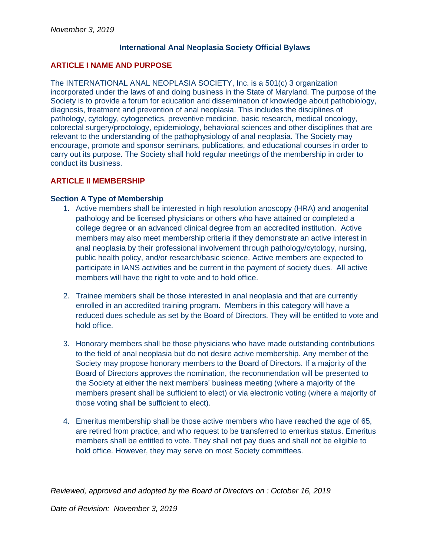## **International Anal Neoplasia Society Official Bylaws**

### **ARTICLE I NAME AND PURPOSE**

The INTERNATIONAL ANAL NEOPLASIA SOCIETY, Inc. is a 501(c) 3 organization incorporated under the laws of and doing business in the State of Maryland. The purpose of the Society is to provide a forum for education and dissemination of knowledge about pathobiology, diagnosis, treatment and prevention of anal neoplasia. This includes the disciplines of pathology, cytology, cytogenetics, preventive medicine, basic research, medical oncology, colorectal surgery/proctology, epidemiology, behavioral sciences and other disciplines that are relevant to the understanding of the pathophysiology of anal neoplasia. The Society may encourage, promote and sponsor seminars, publications, and educational courses in order to carry out its purpose. The Society shall hold regular meetings of the membership in order to conduct its business.

### **ARTICLE II MEMBERSHIP**

#### **Section A Type of Membership**

- 1. Active members shall be interested in high resolution anoscopy (HRA) and anogenital pathology and be licensed physicians or others who have attained or completed a college degree or an advanced clinical degree from an accredited institution. Active members may also meet membership criteria if they demonstrate an active interest in anal neoplasia by their professional involvement through pathology/cytology, nursing, public health policy, and/or research/basic science. Active members are expected to participate in IANS activities and be current in the payment of society dues. All active members will have the right to vote and to hold office.
- 2. Trainee members shall be those interested in anal neoplasia and that are currently enrolled in an accredited training program. Members in this category will have a reduced dues schedule as set by the Board of Directors. They will be entitled to vote and hold office.
- 3. Honorary members shall be those physicians who have made outstanding contributions to the field of anal neoplasia but do not desire active membership. Any member of the Society may propose honorary members to the Board of Directors. If a majority of the Board of Directors approves the nomination, the recommendation will be presented to the Society at either the next members' business meeting (where a majority of the members present shall be sufficient to elect) or via electronic voting (where a majority of those voting shall be sufficient to elect).
- 4. Emeritus membership shall be those active members who have reached the age of 65, are retired from practice, and who request to be transferred to emeritus status. Emeritus members shall be entitled to vote. They shall not pay dues and shall not be eligible to hold office. However, they may serve on most Society committees.

*Reviewed, approved and adopted by the Board of Directors on : October 16, 2019*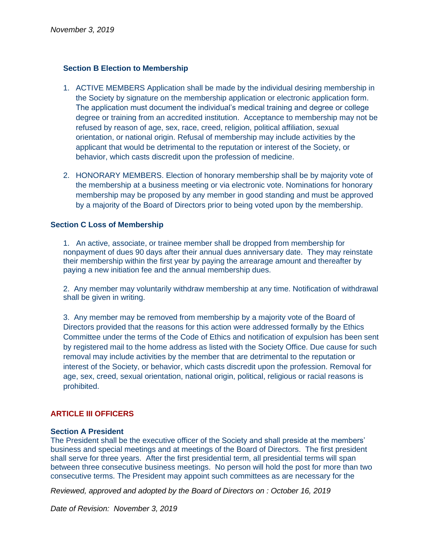# **Section B Election to Membership**

- 1. ACTIVE MEMBERS Application shall be made by the individual desiring membership in the Society by signature on the membership application or electronic application form. The application must document the individual's medical training and degree or college degree or training from an accredited institution. Acceptance to membership may not be refused by reason of age, sex, race, creed, religion, political affiliation, sexual orientation, or national origin. Refusal of membership may include activities by the applicant that would be detrimental to the reputation or interest of the Society, or behavior, which casts discredit upon the profession of medicine.
- 2. HONORARY MEMBERS. Election of honorary membership shall be by majority vote of the membership at a business meeting or via electronic vote. Nominations for honorary membership may be proposed by any member in good standing and must be approved by a majority of the Board of Directors prior to being voted upon by the membership.

## **Section C Loss of Membership**

1. An active, associate, or trainee member shall be dropped from membership for nonpayment of dues 90 days after their annual dues anniversary date. They may reinstate their membership within the first year by paying the arrearage amount and thereafter by paying a new initiation fee and the annual membership dues.

2. Any member may voluntarily withdraw membership at any time. Notification of withdrawal shall be given in writing.

3. Any member may be removed from membership by a majority vote of the Board of Directors provided that the reasons for this action were addressed formally by the Ethics Committee under the terms of the Code of Ethics and notification of expulsion has been sent by registered mail to the home address as listed with the Society Office. Due cause for such removal may include activities by the member that are detrimental to the reputation or interest of the Society, or behavior, which casts discredit upon the profession. Removal for age, sex, creed, sexual orientation, national origin, political, religious or racial reasons is prohibited.

## **ARTICLE III OFFICERS**

### **Section A President**

The President shall be the executive officer of the Society and shall preside at the members' business and special meetings and at meetings of the Board of Directors. The first president shall serve for three years. After the first presidential term, all presidential terms will span between three consecutive business meetings. No person will hold the post for more than two consecutive terms. The President may appoint such committees as are necessary for the

*Reviewed, approved and adopted by the Board of Directors on : October 16, 2019*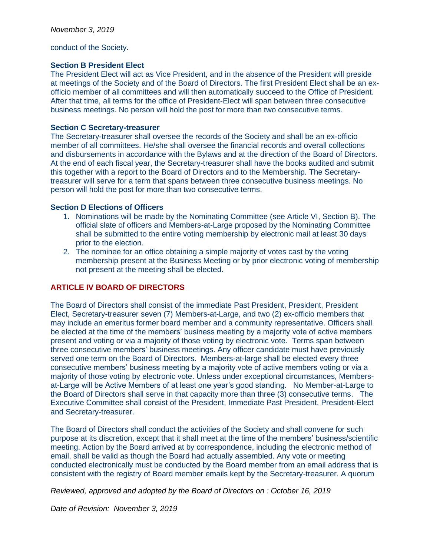conduct of the Society.

# **Section B President Elect**

The President Elect will act as Vice President, and in the absence of the President will preside at meetings of the Society and of the Board of Directors. The first President Elect shall be an exofficio member of all committees and will then automatically succeed to the Office of President. After that time, all terms for the office of President-Elect will span between three consecutive business meetings. No person will hold the post for more than two consecutive terms.

## **Section C Secretary-treasurer**

The Secretary-treasurer shall oversee the records of the Society and shall be an ex-officio member of all committees. He/she shall oversee the financial records and overall collections and disbursements in accordance with the Bylaws and at the direction of the Board of Directors. At the end of each fiscal year, the Secretary-treasurer shall have the books audited and submit this together with a report to the Board of Directors and to the Membership. The Secretarytreasurer will serve for a term that spans between three consecutive business meetings. No person will hold the post for more than two consecutive terms.

## **Section D Elections of Officers**

- 1. Nominations will be made by the Nominating Committee (see Article VI, Section B). The official slate of officers and Members-at-Large proposed by the Nominating Committee shall be submitted to the entire voting membership by electronic mail at least 30 days prior to the election.
- 2. The nominee for an office obtaining a simple majority of votes cast by the voting membership present at the Business Meeting or by prior electronic voting of membership not present at the meeting shall be elected.

# **ARTICLE IV BOARD OF DIRECTORS**

The Board of Directors shall consist of the immediate Past President, President, President Elect, Secretary-treasurer seven (7) Members-at-Large, and two (2) ex-officio members that may include an emeritus former board member and a community representative. Officers shall be elected at the time of the members' business meeting by a majority vote of active members present and voting or via a majority of those voting by electronic vote. Terms span between three consecutive members' business meetings. Any officer candidate must have previously served one term on the Board of Directors. Members-at-large shall be elected every three consecutive members' business meeting by a majority vote of active members voting or via a majority of those voting by electronic vote. Unless under exceptional circumstances, Membersat-Large will be Active Members of at least one year's good standing. No Member-at-Large to the Board of Directors shall serve in that capacity more than three (3) consecutive terms. The Executive Committee shall consist of the President, Immediate Past President, President-Elect and Secretary-treasurer.

The Board of Directors shall conduct the activities of the Society and shall convene for such purpose at its discretion, except that it shall meet at the time of the members' business/scientific meeting. Action by the Board arrived at by correspondence, including the electronic method of email, shall be valid as though the Board had actually assembled. Any vote or meeting conducted electronically must be conducted by the Board member from an email address that is consistent with the registry of Board member emails kept by the Secretary-treasurer. A quorum

*Reviewed, approved and adopted by the Board of Directors on : October 16, 2019*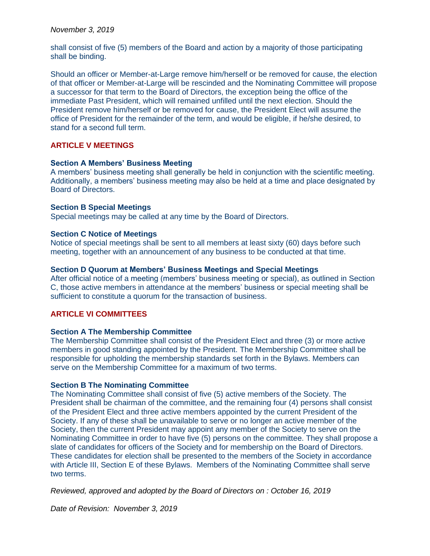### *November 3, 2019*

shall consist of five (5) members of the Board and action by a majority of those participating shall be binding.

Should an officer or Member-at-Large remove him/herself or be removed for cause, the election of that officer or Member-at-Large will be rescinded and the Nominating Committee will propose a successor for that term to the Board of Directors, the exception being the office of the immediate Past President, which will remained unfilled until the next election. Should the President remove him/herself or be removed for cause, the President Elect will assume the office of President for the remainder of the term, and would be eligible, if he/she desired, to stand for a second full term.

## **ARTICLE V MEETINGS**

### **Section A Members' Business Meeting**

A members' business meeting shall generally be held in conjunction with the scientific meeting. Additionally, a members' business meeting may also be held at a time and place designated by Board of Directors.

### **Section B Special Meetings**

Special meetings may be called at any time by the Board of Directors.

## **Section C Notice of Meetings**

Notice of special meetings shall be sent to all members at least sixty (60) days before such meeting, together with an announcement of any business to be conducted at that time.

### **Section D Quorum at Members' Business Meetings and Special Meetings**

After official notice of a meeting (members' business meeting or special), as outlined in Section C, those active members in attendance at the members' business or special meeting shall be sufficient to constitute a quorum for the transaction of business.

## **ARTICLE VI COMMITTEES**

#### **Section A The Membership Committee**

The Membership Committee shall consist of the President Elect and three (3) or more active members in good standing appointed by the President. The Membership Committee shall be responsible for upholding the membership standards set forth in the Bylaws. Members can serve on the Membership Committee for a maximum of two terms.

#### **Section B The Nominating Committee**

The Nominating Committee shall consist of five (5) active members of the Society. The President shall be chairman of the committee, and the remaining four (4) persons shall consist of the President Elect and three active members appointed by the current President of the Society. If any of these shall be unavailable to serve or no longer an active member of the Society, then the current President may appoint any member of the Society to serve on the Nominating Committee in order to have five (5) persons on the committee. They shall propose a slate of candidates for officers of the Society and for membership on the Board of Directors. These candidates for election shall be presented to the members of the Society in accordance with Article III, Section E of these Bylaws. Members of the Nominating Committee shall serve two terms.

*Reviewed, approved and adopted by the Board of Directors on : October 16, 2019*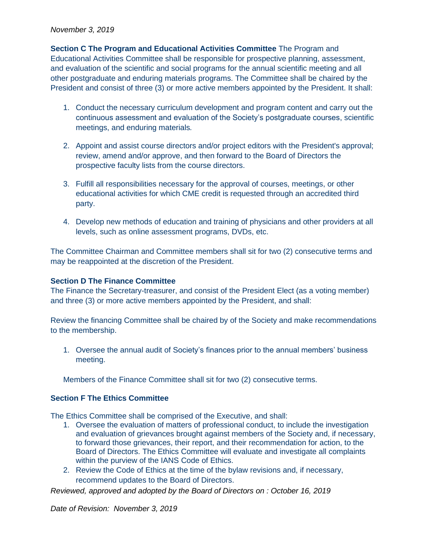### *November 3, 2019*

**Section C The Program and Educational Activities Committee** The Program and Educational Activities Committee shall be responsible for prospective planning, assessment, and evaluation of the scientific and social programs for the annual scientific meeting and all other postgraduate and enduring materials programs. The Committee shall be chaired by the President and consist of three (3) or more active members appointed by the President. It shall:

- 1. Conduct the necessary curriculum development and program content and carry out the continuous assessment and evaluation of the Society's postgraduate courses, scientific meetings, and enduring materials*.*
- 2. Appoint and assist course directors and/or project editors with the President's approval; review, amend and/or approve, and then forward to the Board of Directors the prospective faculty lists from the course directors.
- 3. Fulfill all responsibilities necessary for the approval of courses, meetings, or other educational activities for which CME credit is requested through an accredited third party.
- 4. Develop new methods of education and training of physicians and other providers at all levels, such as online assessment programs, DVDs, etc.

The Committee Chairman and Committee members shall sit for two (2) consecutive terms and may be reappointed at the discretion of the President.

## **Section D The Finance Committee**

The Finance the Secretary-treasurer, and consist of the President Elect (as a voting member) and three (3) or more active members appointed by the President, and shall:

Review the financing Committee shall be chaired by of the Society and make recommendations to the membership.

1. Oversee the annual audit of Society's finances prior to the annual members' business meeting.

Members of the Finance Committee shall sit for two (2) consecutive terms.

## **Section F The Ethics Committee**

The Ethics Committee shall be comprised of the Executive, and shall:

- 1. Oversee the evaluation of matters of professional conduct, to include the investigation and evaluation of grievances brought against members of the Society and, if necessary, to forward those grievances, their report, and their recommendation for action, to the Board of Directors. The Ethics Committee will evaluate and investigate all complaints within the purview of the IANS Code of Ethics.
- 2. Review the Code of Ethics at the time of the bylaw revisions and, if necessary, recommend updates to the Board of Directors.

*Reviewed, approved and adopted by the Board of Directors on : October 16, 2019*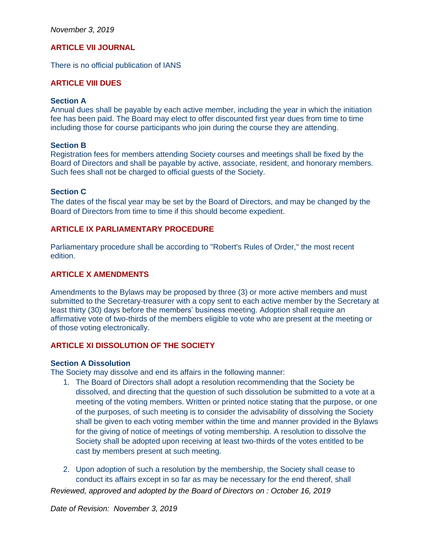*November 3, 2019*

# **ARTICLE VII JOURNAL**

There is no official publication of IANS

## **ARTICLE VIII DUES**

#### **Section A**

Annual dues shall be payable by each active member, including the year in which the initiation fee has been paid. The Board may elect to offer discounted first year dues from time to time including those for course participants who join during the course they are attending.

#### **Section B**

Registration fees for members attending Society courses and meetings shall be fixed by the Board of Directors and shall be payable by active, associate, resident, and honorary members. Such fees shall not be charged to official guests of the Society.

#### **Section C**

The dates of the fiscal year may be set by the Board of Directors, and may be changed by the Board of Directors from time to time if this should become expedient.

# **ARTICLE IX PARLIAMENTARY PROCEDURE**

Parliamentary procedure shall be according to "Robert's Rules of Order," the most recent edition.

### **ARTICLE X AMENDMENTS**

Amendments to the Bylaws may be proposed by three (3) or more active members and must submitted to the Secretary-treasurer with a copy sent to each active member by the Secretary at least thirty (30) days before the members' business meeting. Adoption shall require an affirmative vote of two-thirds of the members eligible to vote who are present at the meeting or of those voting electronically.

## **ARTICLE XI DISSOLUTION OF THE SOCIETY**

### **Section A Dissolution**

The Society may dissolve and end its affairs in the following manner:

- 1. The Board of Directors shall adopt a resolution recommending that the Society be dissolved, and directing that the question of such dissolution be submitted to a vote at a meeting of the voting members. Written or printed notice stating that the purpose, or one of the purposes, of such meeting is to consider the advisability of dissolving the Society shall be given to each voting member within the time and manner provided in the Bylaws for the giving of notice of meetings of voting membership. A resolution to dissolve the Society shall be adopted upon receiving at least two-thirds of the votes entitled to be cast by members present at such meeting.
- 2. Upon adoption of such a resolution by the membership, the Society shall cease to conduct its affairs except in so far as may be necessary for the end thereof, shall

*Reviewed, approved and adopted by the Board of Directors on : October 16, 2019*